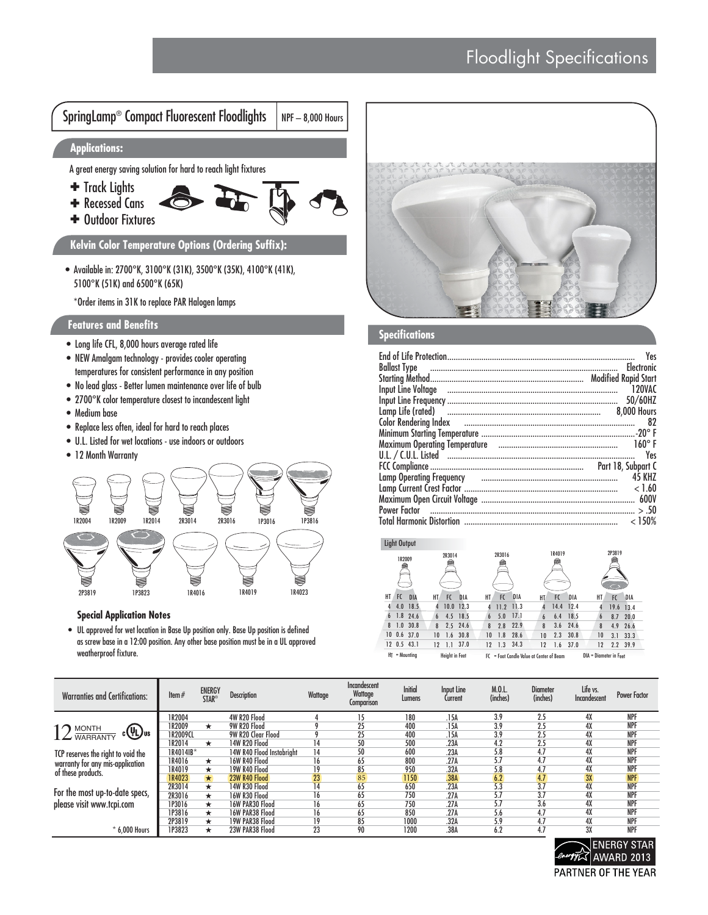



## **Special Application Notes**

• UL approved for wet location in Base Up position only. Base Up position is defined as screw base in a 12:00 position. Any other base position must be in a UL approved weatherproof fixture.



## **Specifications**

|                                                                             | Yes                |
|-----------------------------------------------------------------------------|--------------------|
|                                                                             | <b>Flectronic</b>  |
|                                                                             |                    |
|                                                                             |                    |
|                                                                             | 120VAC             |
|                                                                             | 50/60HZ            |
|                                                                             | <b>8.000 Hours</b> |
|                                                                             | 82                 |
|                                                                             |                    |
|                                                                             | $160^{\circ}$ F    |
| U.L. / C.U.L. Listed <u>www.www.communistic.communistic.communistic.com</u> | Yes                |
|                                                                             |                    |
| Lamp Operating Frequency и простоленности положение полности по не на в С   | <b>45 KH7</b>      |
|                                                                             | < 1.60             |
|                                                                             |                    |
|                                                                             |                    |
|                                                                             | <150%              |

## Light Output

| 1R2009                 | 2R3014                          | 2R3016                                      | 1R4019                          | 2P3819                      |  |  |  |
|------------------------|---------------------------------|---------------------------------------------|---------------------------------|-----------------------------|--|--|--|
| FC<br><b>DIA</b><br>HТ | DIA<br>HT<br>FC                 | <b>DIA</b><br>НT<br>FC                      | FC<br>DIA<br>НT                 | DIA<br>HT.<br>FC            |  |  |  |
| 4<br>4.0<br>18.5       | $10.0$ 12.3<br>4                | 11.3<br>11.2                                | 14.4<br>12.4<br>4               | 19.6<br>13.4<br>4           |  |  |  |
| $1.8$ 24.6<br>6        | 18.5<br>4.5<br>$\boldsymbol{6}$ | 17.1<br>5.0<br>6                            | 18.5<br>6.4<br>$\boldsymbol{6}$ | 20.0<br>8.7<br>$\mathbf{6}$ |  |  |  |
| $1.0$ 30.8<br>8        | $2.5$ 24.6<br>8                 | 22.9<br>2.8<br>8                            | 8<br>24.6<br>3.6                | 8<br>4.9<br>26.6            |  |  |  |
| $10$ 0.6 37.0          | 30.8<br>1.6<br>10               | 28.6<br>1.8<br>10                           | 2.3<br>30.8<br>10               | 33.3<br>10<br>3.1           |  |  |  |
| $12$ 0.5 43.1          | 37.0<br>12<br>1.1               | 34.3<br>1.3<br>12                           | 37.0<br>1.6<br>12               | 12<br>2.2<br>39.9           |  |  |  |
| - Mounting<br>HT       | <b>Height in Feet</b>           | - Foot Candle Value at Center of Beam<br>FC | DIA - Diameter in Feet          |                             |  |  |  |

| <b>Warranties and Certifications:</b>                    | Item $#$      | <b>ENERGY</b><br><b>STAR<sup>®</sup></b> | <b>Description</b>        | Wattage | Incandescent<br>Wattage<br><b>Comparison</b> | <b>Initial</b><br>Lumens | Input Line<br>Current | M.0.L.<br>(inches) | <b>Diameter</b><br>(inches) | Life vs.<br>Incandescent | <b>Power Factor</b> |
|----------------------------------------------------------|---------------|------------------------------------------|---------------------------|---------|----------------------------------------------|--------------------------|-----------------------|--------------------|-----------------------------|--------------------------|---------------------|
|                                                          | IR2004        |                                          | 4W R20 Flood              |         | 15                                           | 180                      | .15A                  | 3.9                | 2.5                         | 4X                       | <b>NPF</b>          |
|                                                          | IR2009        | *                                        | 9W R20 Flood              |         | 25                                           | 400                      | .15A                  | 3.9                | 2.5                         | 4X                       | <b>NPF</b>          |
| $12 \frac{\text{MONTH}}{\text{WARRANTY}}$<br>$c(y_L)$ us | 1R2009CL      |                                          | 9W R20 Clear Flood        |         | 25                                           | 400                      | .15A                  | 3.9                | 2.5                         | 4X                       | <b>NPF</b>          |
|                                                          | IR2014        | $\star$                                  | 14W R20 Flood             | 14      | 50                                           | 500                      | .23A                  | 4.2                | 2.5                         | 4X                       | <b>NPF</b>          |
| TCP reserves the right to void the                       | 1R4014IB*     |                                          | 14W R40 Flood Instabright | 14      | 50                                           | 600                      | .23A                  | 5.8                | 4.7                         | 4X                       | <b>NPF</b>          |
| warranty for any mis-application                         | IR4016        | *                                        | 16W R40 Flood             | 16      | 65                                           | 800                      | .27A                  | 5.7                | 4.7                         | 4X                       | <b>NPF</b>          |
| of these products.                                       | R4019         | $\star$                                  | 19W R40 Flood             | 19      | 85                                           | 950                      | .32A                  | 5.8                | 4.7                         | 4X                       | <b>NPF</b>          |
|                                                          | IR4023        | $\star$                                  | 23W R40 Flood             | 23      | 85                                           | 1150                     | .38A                  | 6.2                | 4.7                         | 3X                       | <b>NPF</b>          |
| For the most up-to-date specs,                           | 2R3014        | *                                        | 14W R30 Flood             | 14      | 65                                           | 650                      | .23A                  | 5.3                | 3.7                         | 4X                       | <b>NPF</b>          |
|                                                          | 2R3016        | *                                        | <b>16W R30 Flood</b>      | 16      | 65                                           | 750                      | .27A                  | 5.7                | 3.7                         | 4Х                       | <b>NPF</b>          |
| please visit www.tcpi.com                                | <b>IP3016</b> | *                                        | 16W PAR30 Flood           | 16      | 65                                           | 750                      | .27A                  | 5.7                | 3.6                         | 4X                       | <b>NPF</b>          |
|                                                          | IP3816        | *                                        | 16W PAR38 Flood           | 16      | 65                                           | 850                      | .27A                  | 5.6                | 4.7                         | 4X                       | <b>NPF</b>          |
|                                                          | 2P3819        | *                                        | 19W PAR38 Flood           | 19      | 85                                           | 1000                     | .32A                  | 5.9                | 4.7                         | 4X                       | <b>NPF</b>          |
| $*$ 6.000 Hours                                          | <b>IP3823</b> | *                                        | 23W PAR38 Flood           | 23      | 90                                           | 1200                     | .38A                  | 6.2                | 4.7                         | 3X                       | <b>NPF</b>          |